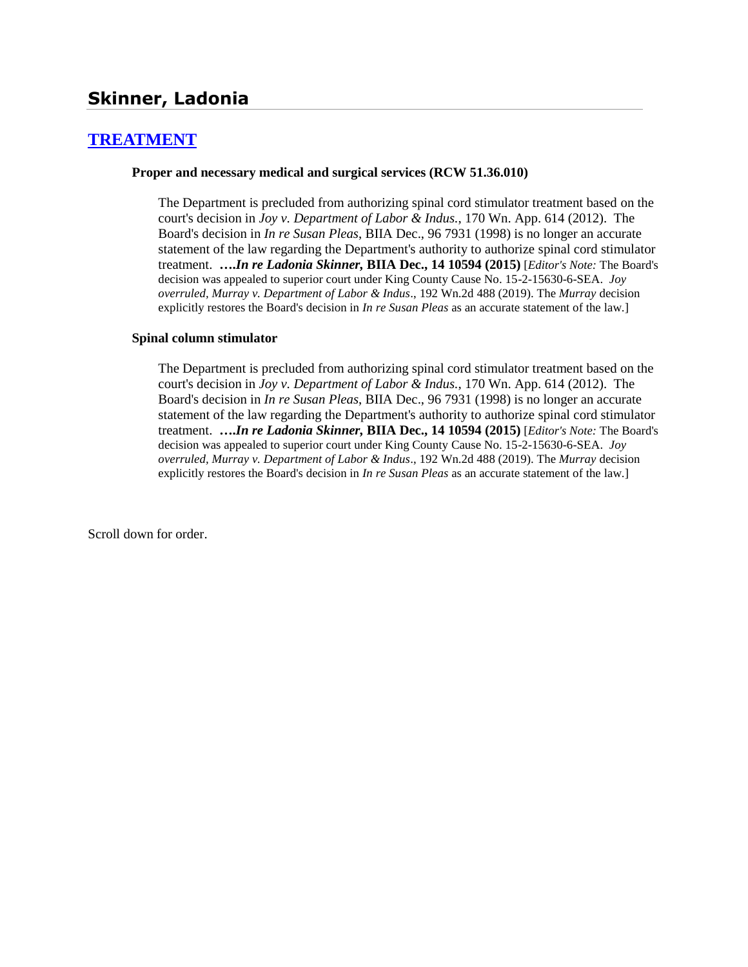# **[TREATMENT](http://www.biia.wa.gov/SDSubjectIndex.html#TREATMENT)**

### **Proper and necessary medical and surgical services (RCW 51.36.010)**

The Department is precluded from authorizing spinal cord stimulator treatment based on the court's decision in *Joy v. Department of Labor & Indus.*, 170 Wn. App. 614 (2012). The Board's decision in *In re Susan Pleas*, BIIA Dec., 96 7931 (1998) is no longer an accurate statement of the law regarding the Department's authority to authorize spinal cord stimulator treatment. **….***In re Ladonia Skinner,* **BIIA Dec., 14 10594 (2015)** [*Editor's Note:* The Board's decision was appealed to superior court under King County Cause No. 15-2-15630-6-SEA. *Joy overruled, Murray v. Department of Labor & Indus*., 192 Wn.2d 488 (2019). The *Murray* decision explicitly restores the Board's decision in *In re Susan Pleas* as an accurate statement of the law.]

### **Spinal column stimulator**

The Department is precluded from authorizing spinal cord stimulator treatment based on the court's decision in *Joy v. Department of Labor & Indus.*, 170 Wn. App. 614 (2012). The Board's decision in *In re Susan Pleas*, BIIA Dec., 96 7931 (1998) is no longer an accurate statement of the law regarding the Department's authority to authorize spinal cord stimulator treatment. **….***In re Ladonia Skinner,* **BIIA Dec., 14 10594 (2015)** [*Editor's Note:* The Board's decision was appealed to superior court under King County Cause No. 15-2-15630-6-SEA. *Joy overruled, Murray v. Department of Labor & Indus*., 192 Wn.2d 488 (2019). The *Murray* decision explicitly restores the Board's decision in *In re Susan Pleas* as an accurate statement of the law.]

Scroll down for order.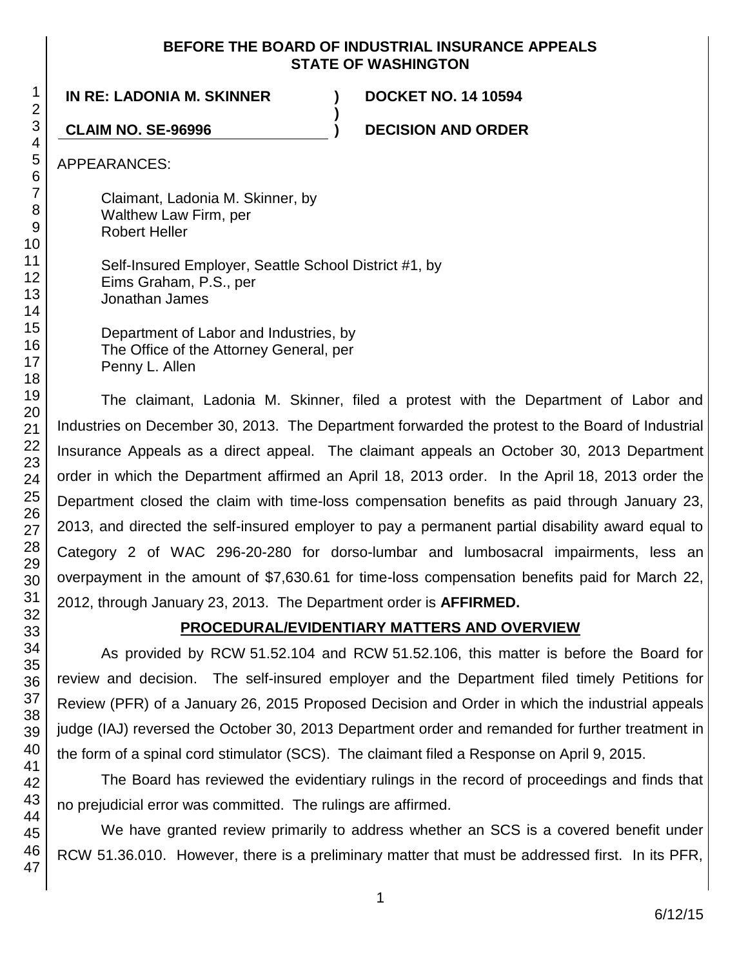## **BEFORE THE BOARD OF INDUSTRIAL INSURANCE APPEALS STATE OF WASHINGTON**

**)**

**IN RE: LADONIA M. SKINNER ) DOCKET NO. 14 10594**

**CLAIM NO. SE-96996 ) DECISION AND ORDER**

APPEARANCES:

Claimant, Ladonia M. Skinner, by Walthew Law Firm, per Robert Heller

Self-Insured Employer, Seattle School District #1, by Eims Graham, P.S., per Jonathan James

Department of Labor and Industries, by The Office of the Attorney General, per Penny L. Allen

The claimant, Ladonia M. Skinner, filed a protest with the Department of Labor and Industries on December 30, 2013. The Department forwarded the protest to the Board of Industrial Insurance Appeals as a direct appeal. The claimant appeals an October 30, 2013 Department order in which the Department affirmed an April 18, 2013 order. In the April 18, 2013 order the Department closed the claim with time-loss compensation benefits as paid through January 23, 2013, and directed the self-insured employer to pay a permanent partial disability award equal to Category 2 of WAC 296-20-280 for dorso-lumbar and lumbosacral impairments, less an overpayment in the amount of \$7,630.61 for time-loss compensation benefits paid for March 22, 2012, through January 23, 2013. The Department order is **AFFIRMED.**

# **PROCEDURAL/EVIDENTIARY MATTERS AND OVERVIEW**

As provided by RCW 51.52.104 and RCW 51.52.106, this matter is before the Board for review and decision. The self-insured employer and the Department filed timely Petitions for Review (PFR) of a January 26, 2015 Proposed Decision and Order in which the industrial appeals judge (IAJ) reversed the October 30, 2013 Department order and remanded for further treatment in the form of a spinal cord stimulator (SCS). The claimant filed a Response on April 9, 2015.

The Board has reviewed the evidentiary rulings in the record of proceedings and finds that no prejudicial error was committed. The rulings are affirmed.

We have granted review primarily to address whether an SCS is a covered benefit under RCW 51.36.010. However, there is a preliminary matter that must be addressed first. In its PFR,

1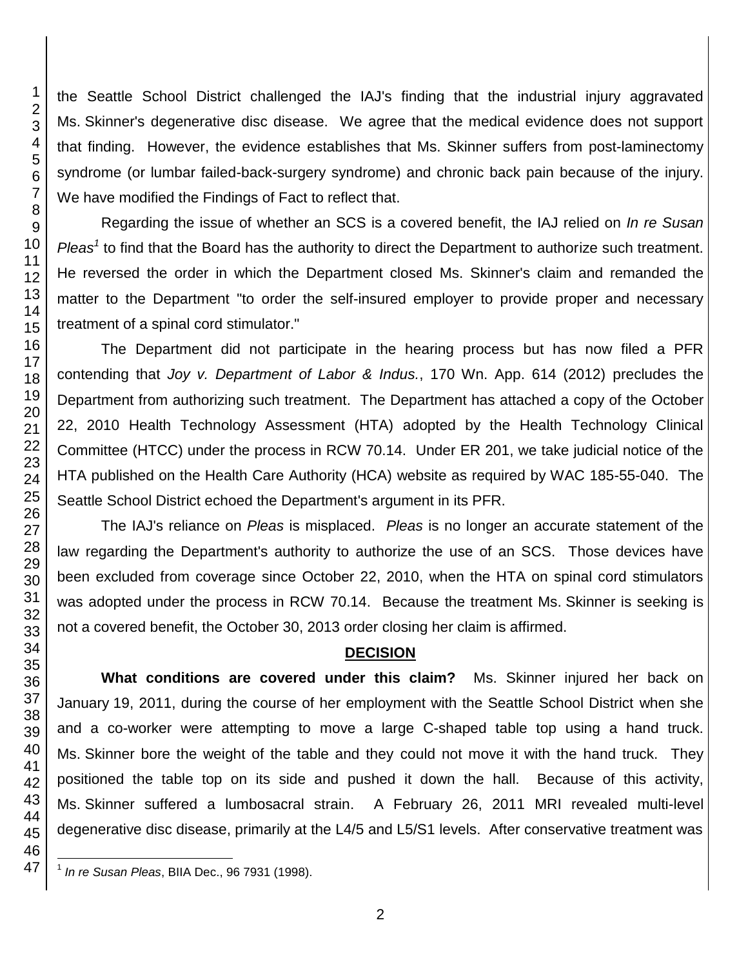the Seattle School District challenged the IAJ's finding that the industrial injury aggravated Ms. Skinner's degenerative disc disease. We agree that the medical evidence does not support that finding. However, the evidence establishes that Ms. Skinner suffers from post-laminectomy syndrome (or lumbar failed-back-surgery syndrome) and chronic back pain because of the injury. We have modified the Findings of Fact to reflect that.

Regarding the issue of whether an SCS is a covered benefit, the IAJ relied on *In re Susan*  Pleas<sup>1</sup> to find that the Board has the authority to direct the Department to authorize such treatment. He reversed the order in which the Department closed Ms. Skinner's claim and remanded the matter to the Department "to order the self-insured employer to provide proper and necessary treatment of a spinal cord stimulator."

The Department did not participate in the hearing process but has now filed a PFR contending that *Joy v. Department of Labor & Indus.*, 170 Wn. App. 614 (2012) precludes the Department from authorizing such treatment. The Department has attached a copy of the October 22, 2010 Health Technology Assessment (HTA) adopted by the Health Technology Clinical Committee (HTCC) under the process in RCW 70.14. Under ER 201, we take judicial notice of the HTA published on the Health Care Authority (HCA) website as required by WAC 185-55-040. The Seattle School District echoed the Department's argument in its PFR.

The IAJ's reliance on *Pleas* is misplaced. *Pleas* is no longer an accurate statement of the law regarding the Department's authority to authorize the use of an SCS. Those devices have been excluded from coverage since October 22, 2010, when the HTA on spinal cord stimulators was adopted under the process in RCW 70.14. Because the treatment Ms. Skinner is seeking is not a covered benefit, the October 30, 2013 order closing her claim is affirmed.

## **DECISION**

**What conditions are covered under this claim?** Ms. Skinner injured her back on January 19, 2011, during the course of her employment with the Seattle School District when she and a co-worker were attempting to move a large C-shaped table top using a hand truck. Ms. Skinner bore the weight of the table and they could not move it with the hand truck. They positioned the table top on its side and pushed it down the hall. Because of this activity, Ms. Skinner suffered a lumbosacral strain. A February 26, 2011 MRI revealed multi-level degenerative disc disease, primarily at the L4/5 and L5/S1 levels. After conservative treatment was

 $\overline{\phantom{a}}$ *In re Susan Pleas*, BIIA Dec., 96 7931 (1998).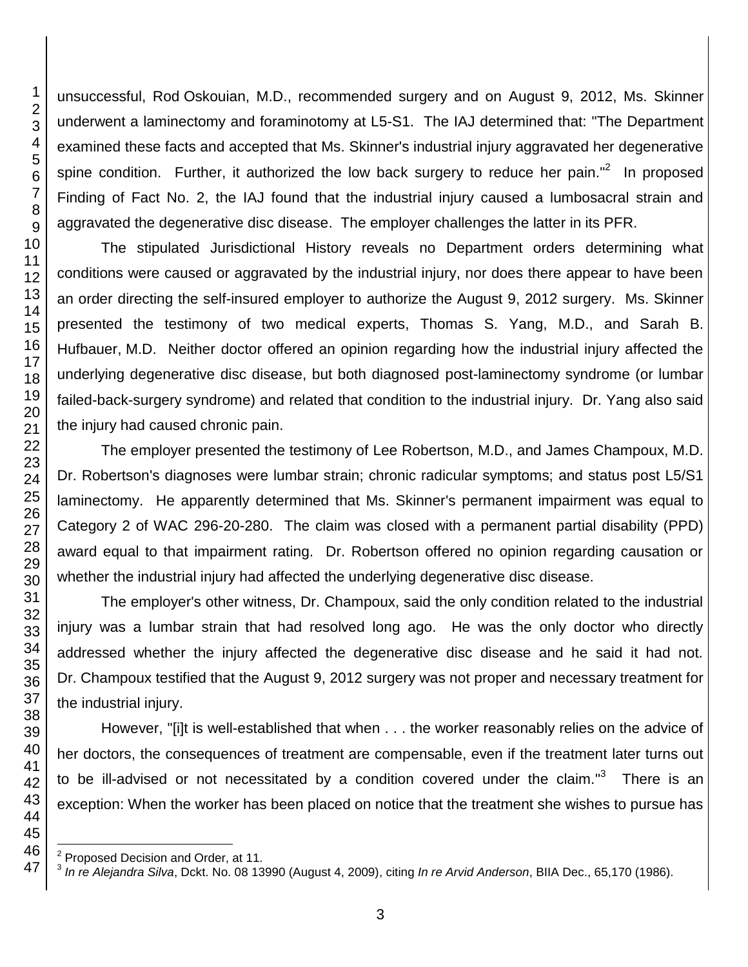unsuccessful, Rod Oskouian, M.D., recommended surgery and on August 9, 2012, Ms. Skinner underwent a laminectomy and foraminotomy at L5-S1. The IAJ determined that: "The Department examined these facts and accepted that Ms. Skinner's industrial injury aggravated her degenerative spine condition. Further, it authorized the low back surgery to reduce her pain."<sup>2</sup> In proposed Finding of Fact No. 2, the IAJ found that the industrial injury caused a lumbosacral strain and aggravated the degenerative disc disease. The employer challenges the latter in its PFR.

The stipulated Jurisdictional History reveals no Department orders determining what conditions were caused or aggravated by the industrial injury, nor does there appear to have been an order directing the self-insured employer to authorize the August 9, 2012 surgery. Ms. Skinner presented the testimony of two medical experts, Thomas S. Yang, M.D., and Sarah B. Hufbauer, M.D. Neither doctor offered an opinion regarding how the industrial injury affected the underlying degenerative disc disease, but both diagnosed post-laminectomy syndrome (or lumbar failed-back-surgery syndrome) and related that condition to the industrial injury. Dr. Yang also said the injury had caused chronic pain.

The employer presented the testimony of Lee Robertson, M.D., and James Champoux, M.D. Dr. Robertson's diagnoses were lumbar strain; chronic radicular symptoms; and status post L5/S1 laminectomy. He apparently determined that Ms. Skinner's permanent impairment was equal to Category 2 of WAC 296-20-280. The claim was closed with a permanent partial disability (PPD) award equal to that impairment rating. Dr. Robertson offered no opinion regarding causation or whether the industrial injury had affected the underlying degenerative disc disease.

The employer's other witness, Dr. Champoux, said the only condition related to the industrial injury was a lumbar strain that had resolved long ago. He was the only doctor who directly addressed whether the injury affected the degenerative disc disease and he said it had not. Dr. Champoux testified that the August 9, 2012 surgery was not proper and necessary treatment for the industrial injury.

However, "[i]t is well-established that when . . . the worker reasonably relies on the advice of her doctors, the consequences of treatment are compensable, even if the treatment later turns out to be ill-advised or not necessitated by a condition covered under the claim."<sup>3</sup> There is an exception: When the worker has been placed on notice that the treatment she wishes to pursue has

l Proposed Decision and Order, at 11.

 *In re Alejandra Silva*, Dckt. No. 08 13990 (August 4, 2009), citing *In re Arvid Anderson*, BIIA Dec., 65,170 (1986).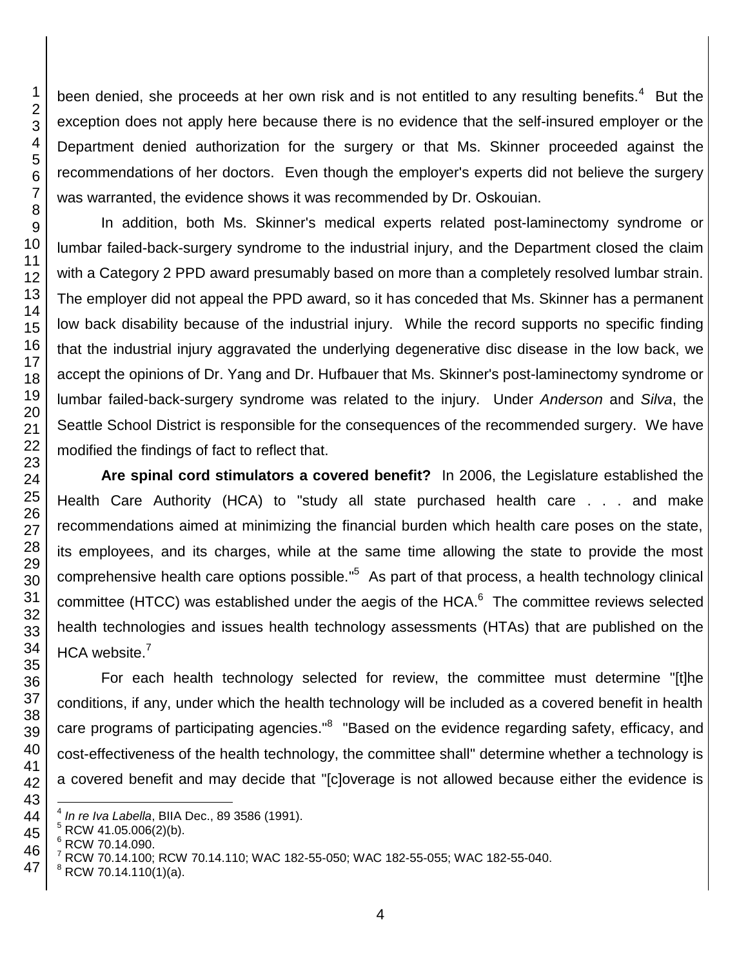been denied, she proceeds at her own risk and is not entitled to any resulting benefits.<sup>4</sup> But the exception does not apply here because there is no evidence that the self-insured employer or the Department denied authorization for the surgery or that Ms. Skinner proceeded against the recommendations of her doctors. Even though the employer's experts did not believe the surgery was warranted, the evidence shows it was recommended by Dr. Oskouian.

In addition, both Ms. Skinner's medical experts related post-laminectomy syndrome or lumbar failed-back-surgery syndrome to the industrial injury, and the Department closed the claim with a Category 2 PPD award presumably based on more than a completely resolved lumbar strain. The employer did not appeal the PPD award, so it has conceded that Ms. Skinner has a permanent low back disability because of the industrial injury. While the record supports no specific finding that the industrial injury aggravated the underlying degenerative disc disease in the low back, we accept the opinions of Dr. Yang and Dr. Hufbauer that Ms. Skinner's post-laminectomy syndrome or lumbar failed-back-surgery syndrome was related to the injury. Under *Anderson* and *Silva*, the Seattle School District is responsible for the consequences of the recommended surgery. We have modified the findings of fact to reflect that.

**Are spinal cord stimulators a covered benefit?** In 2006, the Legislature established the Health Care Authority (HCA) to "study all state purchased health care . . . and make recommendations aimed at minimizing the financial burden which health care poses on the state, its employees, and its charges, while at the same time allowing the state to provide the most comprehensive health care options possible."<sup>5</sup> As part of that process, a health technology clinical committee (HTCC) was established under the aegis of the HCA. $<sup>6</sup>$  The committee reviews selected</sup> health technologies and issues health technology assessments (HTAs) that are published on the HCA website.<sup>7</sup>

For each health technology selected for review, the committee must determine "[t]he conditions, if any, under which the health technology will be included as a covered benefit in health care programs of participating agencies."<sup>8</sup> "Based on the evidence regarding safety, efficacy, and cost-effectiveness of the health technology, the committee shall" determine whether a technology is a covered benefit and may decide that "[c]overage is not allowed because either the evidence is

l *In re Iva Labella*, BIIA Dec., 89 3586 (1991).

RCW 41.05.006(2)(b).

RCW 70.14.090.

RCW 70.14.100; RCW 70.14.110; WAC 182-55-050; WAC 182-55-055; WAC 182-55-040.

RCW 70.14.110(1)(a).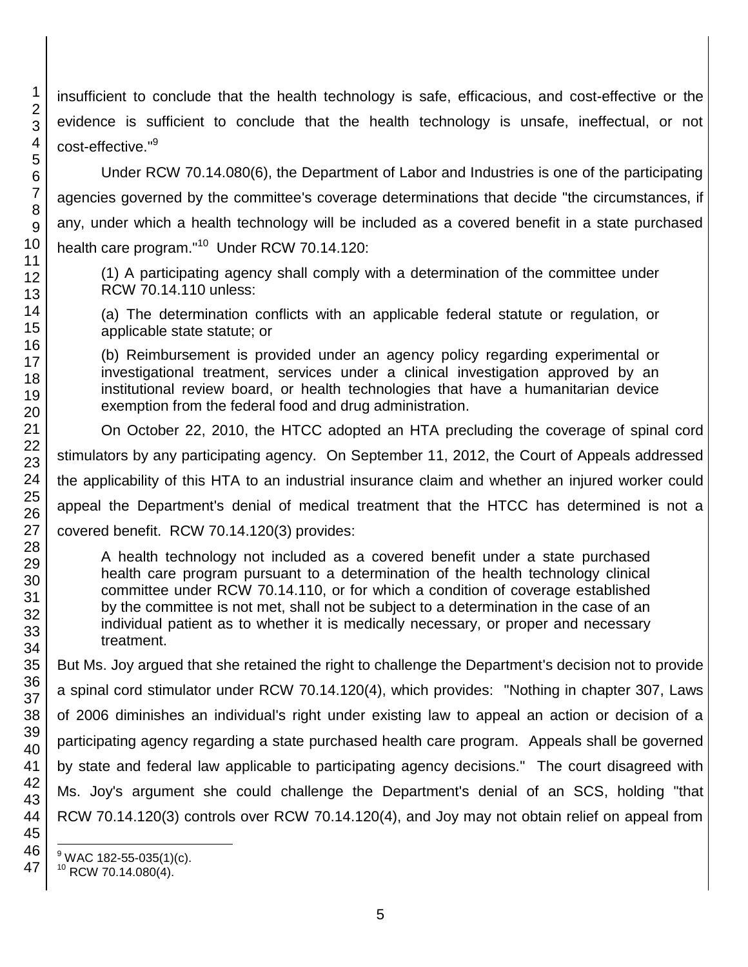insufficient to conclude that the health technology is safe, efficacious, and cost-effective or the evidence is sufficient to conclude that the health technology is unsafe, ineffectual, or not cost-effective."<sup>9</sup>

Under RCW 70.14.080(6), the Department of Labor and Industries is one of the participating agencies governed by the committee's coverage determinations that decide "the circumstances, if any, under which a health technology will be included as a covered benefit in a state purchased health care program."<sup>10</sup> Under RCW 70.14.120:

(1) A participating agency shall comply with a determination of the committee under RCW 70.14.110 unless:

(a) The determination conflicts with an applicable federal statute or regulation, or applicable state statute; or

(b) Reimbursement is provided under an agency policy regarding experimental or investigational treatment, services under a clinical investigation approved by an institutional review board, or health technologies that have a humanitarian device exemption from the federal food and drug administration.

On October 22, 2010, the HTCC adopted an HTA precluding the coverage of spinal cord stimulators by any participating agency. On September 11, 2012, the Court of Appeals addressed the applicability of this HTA to an industrial insurance claim and whether an injured worker could appeal the Department's denial of medical treatment that the HTCC has determined is not a covered benefit. RCW 70.14.120(3) provides:

A health technology not included as a covered benefit under a state purchased health care program pursuant to a determination of the health technology clinical committee under RCW 70.14.110, or for which a condition of coverage established by the committee is not met, shall not be subject to a determination in the case of an individual patient as to whether it is medically necessary, or proper and necessary treatment.

But Ms. Joy argued that she retained the right to challenge the Department's decision not to provide a spinal cord stimulator under RCW 70.14.120(4), which provides: "Nothing in chapter 307, Laws of 2006 diminishes an individual's right under existing law to appeal an action or decision of a participating agency regarding a state purchased health care program. Appeals shall be governed by state and federal law applicable to participating agency decisions." The court disagreed with Ms. Joy's argument she could challenge the Department's denial of an SCS, holding "that RCW 70.14.120(3) controls over RCW 70.14.120(4), and Joy may not obtain relief on appeal from

l

 $^9$  WAC 182-55-035(1)(c).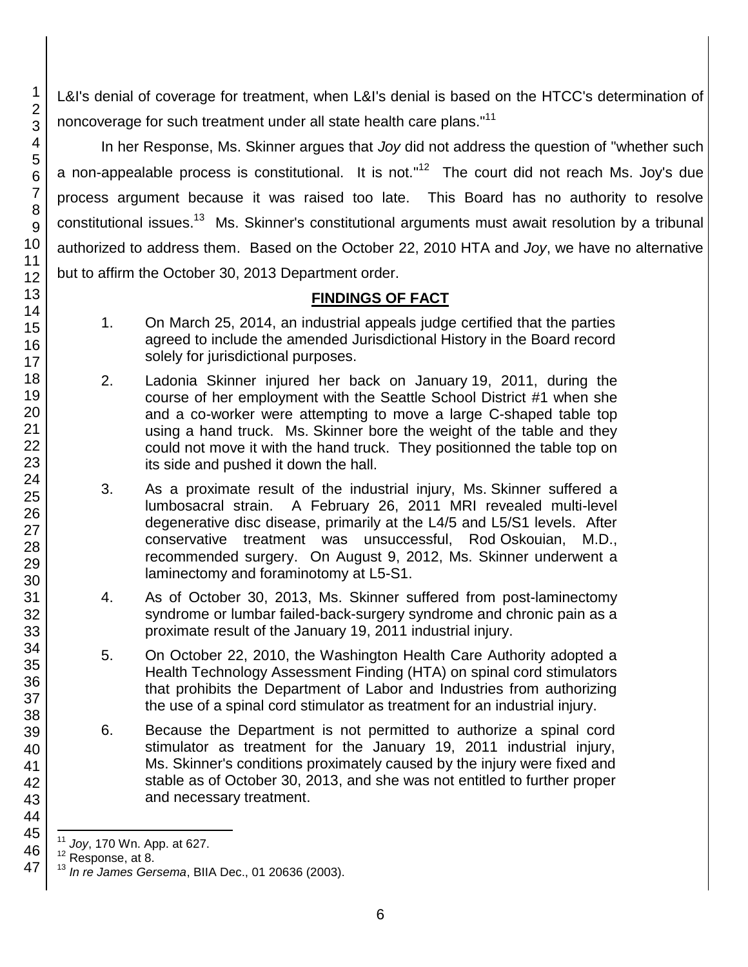L&I's denial of coverage for treatment, when L&I's denial is based on the HTCC's determination of noncoverage for such treatment under all state health care plans."<sup>11</sup>

In her Response, Ms. Skinner argues that *Joy* did not address the question of "whether such a non-appealable process is constitutional. It is not."<sup>12</sup> The court did not reach Ms. Joy's due process argument because it was raised too late. This Board has no authority to resolve constitutional issues.<sup>13</sup> Ms. Skinner's constitutional arguments must await resolution by a tribunal authorized to address them. Based on the October 22, 2010 HTA and *Joy*, we have no alternative but to affirm the October 30, 2013 Department order.

# **FINDINGS OF FACT**

- 1. On March 25, 2014, an industrial appeals judge certified that the parties agreed to include the amended Jurisdictional History in the Board record solely for jurisdictional purposes.
- 2. Ladonia Skinner injured her back on January 19, 2011, during the course of her employment with the Seattle School District #1 when she and a co-worker were attempting to move a large C-shaped table top using a hand truck. Ms. Skinner bore the weight of the table and they could not move it with the hand truck. They positionned the table top on its side and pushed it down the hall.
- 3. As a proximate result of the industrial injury, Ms. Skinner suffered a lumbosacral strain. A February 26, 2011 MRI revealed multi-level degenerative disc disease, primarily at the L4/5 and L5/S1 levels. After conservative treatment was unsuccessful, Rod Oskouian, M.D., recommended surgery. On August 9, 2012, Ms. Skinner underwent a laminectomy and foraminotomy at L5-S1.
- 4. As of October 30, 2013, Ms. Skinner suffered from post-laminectomy syndrome or lumbar failed-back-surgery syndrome and chronic pain as a proximate result of the January 19, 2011 industrial injury.
- 5. On October 22, 2010, the Washington Health Care Authority adopted a Health Technology Assessment Finding (HTA) on spinal cord stimulators that prohibits the Department of Labor and Industries from authorizing the use of a spinal cord stimulator as treatment for an industrial injury.
- 6. Because the Department is not permitted to authorize a spinal cord stimulator as treatment for the January 19, 2011 industrial injury, Ms. Skinner's conditions proximately caused by the injury were fixed and stable as of October 30, 2013, and she was not entitled to further proper and necessary treatment.

1

 $\overline{\phantom{a}}$ <sup>11</sup> *Joy*, 170 Wn. App. at 627.

<sup>&</sup>lt;sup>12</sup> Response, at 8.

<sup>13</sup> *In re James Gersema*, BIIA Dec., 01 20636 (2003).